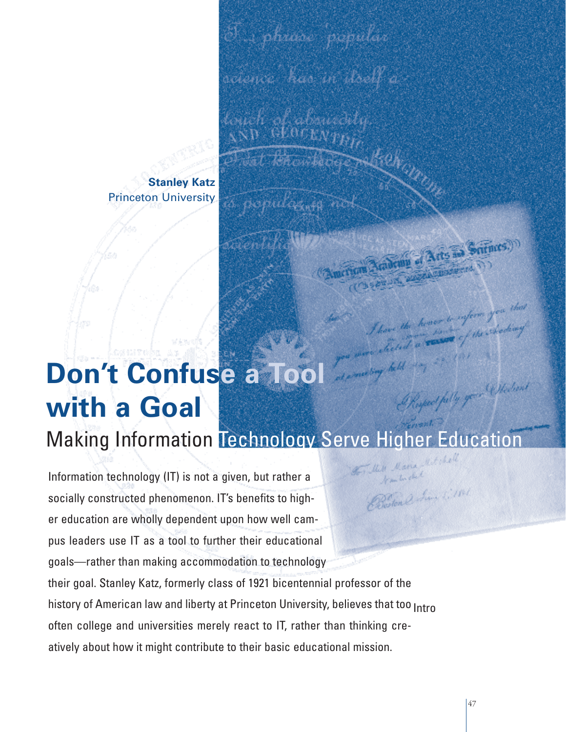**Stanley Katz** Princeton University

# **Don't Confuse a Tool** eact fally your Undian **with a Goal** Making Information Technology Serve Higher Education

 $\mathcal{S}$ . phase 'popular

science" kao in doelf a

thekan in

Information technology (IT) is not a given, but rather a Beston & Sun 2, 1841 socially constructed phenomenon. IT's benefits to higher education are wholly dependent upon how well campus leaders use IT as a tool to further their educational goals—rather than making accommodation to technology their goal. Stanley Katz, formerly class of 1921 bicentennial professor of the history of American law and liberty at Princeton University, believes that too <sub>Intro</sub> often college and universities merely react to IT, rather than thinking creatively about how it might contribute to their basic educational mission.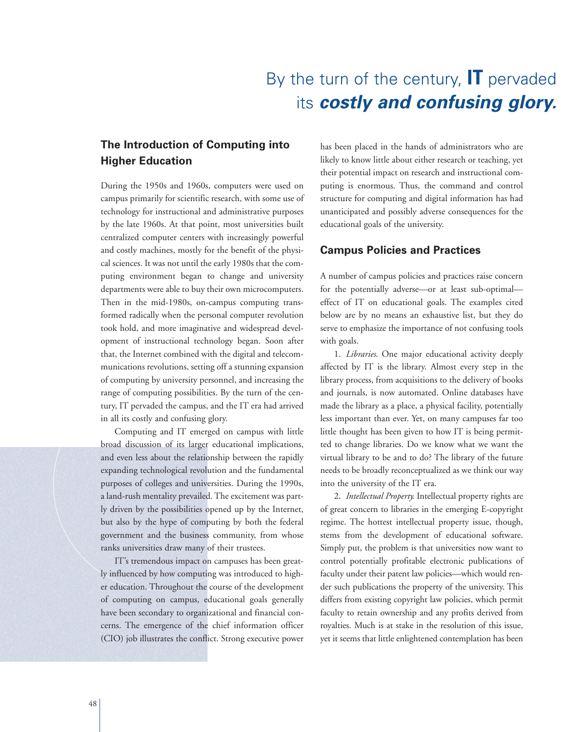## By the turn of the century, **IT** pervaded its **costly and confusing glory.**

#### **The Introduction of Computing into Higher Education**

During the 1950s and 1960s, computers were used on campus primarily for scientific research, with some use of technology for instructional and administrative purposes by the late 1960s. At that point, most universities built centralized computer centers with increasingly powerful and costly machines, mostly for the benefit of the physical sciences. It was not until the early 1980s that the computing environment began to change and university departments were able to buy their own microcomputers. Then in the mid-1980s, on-campus computing transformed radically when the personal computer revolution took hold, and more imaginative and widespread development of instructional technology began. Soon after that, the Internet combined with the digital and telecommunications revolutions, setting off a stunning expansion of computing by university personnel, and increasing the range of computing possibilities. By the turn of the century, IT pervaded the campus, and the IT era had arrived in all its costly and confusing glory.

Computing and IT emerged on campus with little broad discussion of its larger educational implications, and even less about the relationship between the rapidly expanding technological revolution and the fundamental purposes of colleges and universities. During the 1990s, a land-rush mentality prevailed. The excitement was partly driven by the possibilities opened up by the Internet, but also by the hype of computing by both the federal government and the business community, from whose ranks universities draw many of their trustees.

IT's tremendous impact on campuses has been greatly influenced by how computing was introduced to higher education. Throughout the course of the development of computing on campus, educational goals generally have been secondary to organizational and financial concerns. The emergence of the chief information officer (CIO) job illustrates the conflict. Strong executive power has been placed in the hands of administrators who are likely to know little about either research or teaching, yet their potential impact on research and instructional computing is enormous. Thus, the command and control structure for computing and digital information has had unanticipated and possibly adverse consequences for the educational goals of the university.

#### **Campus Policies and Practices**

A number of campus policies and practices raise concern for the potentially adverse—or at least sub-optimal effect of IT on educational goals. The examples cited below are by no means an exhaustive list, but they do serve to emphasize the importance of not confusing tools with goals.

1. *Libraries*. One major educational activity deeply affected by IT is the library. Almost every step in the library process, from acquisitions to the delivery of books and journals, is now automated. Online databases have made the library as a place, a physical facility, potentially less important than ever. Yet, on many campuses far too little thought has been given to how IT is being permitted to change libraries. Do we know what we want the virtual library to be and to do? The library of the future needs to be broadly reconceptualized as we think our way into the university of the IT era.

2. *Intellectual Property.* Intellectual property rights are of great concern to libraries in the emerging E-copyright regime. The hottest intellectual property issue, though, stems from the development of educational software. Simply put, the problem is that universities now want to control potentially profitable electronic publications of faculty under their patent law policies—which would render such publications the property of the university. This differs from existing copyright law policies, which permit faculty to retain ownership and any profits derived from royalties. Much is at stake in the resolution of this issue, yet it seems that little enlightened contemplation has been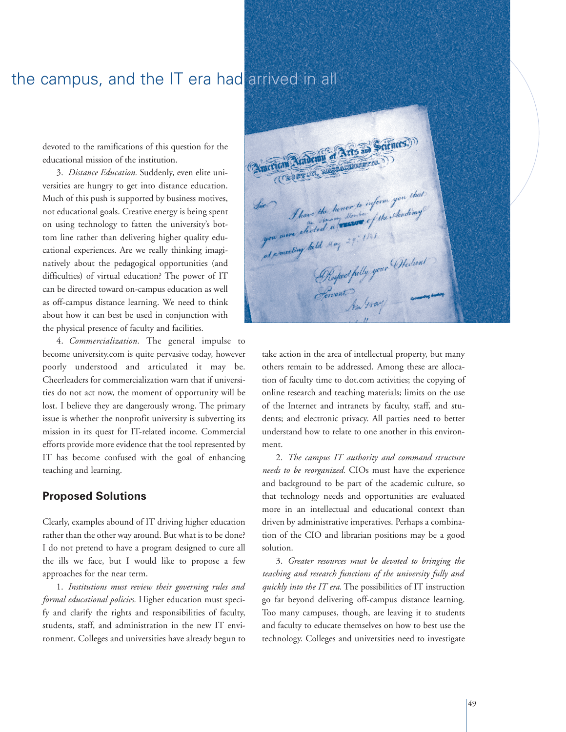### the campus, and the IT era had arrived in all

devoted to the ramifications of this question for the educational mission of the institution.

3. *Distance Education.* Suddenly, even elite universities are hungry to get into distance education. Much of this push is supported by business motives, not educational goals. Creative energy is being spent on using technology to fatten the university's bottom line rather than delivering higher quality educational experiences. Are we really thinking imaginatively about the pedagogical opportunities (and difficulties) of virtual education? The power of IT can be directed toward on-campus education as well as off-campus distance learning. We need to think about how it can best be used in conjunction with the physical presence of faculty and facilities.

4. *Commercialization.* The general impulse to become university.com is quite pervasive today, however poorly understood and articulated it may be. Cheerleaders for commercialization warn that if universities do not act now, the moment of opportunity will be lost. I believe they are dangerously wrong. The primary issue is whether the nonprofit university is subverting its mission in its quest for IT-related income. Commercial efforts provide more evidence that the tool represented by IT has become confused with the goal of enhancing teaching and learning.

#### **Proposed Solutions**

Clearly, examples abound of IT driving higher education rather than the other way around. But what is to be done? I do not pretend to have a program designed to cure all the ills we face, but I would like to propose a few approaches for the near term.

1. *Institutions must review their governing rules and formal educational policies.* Higher education must specify and clarify the rights and responsibilities of faculty, students, staff, and administration in the new IT environment. Colleges and universities have already begun to

Aradeun of Arts and ciences.) Thave the honor to inform you that you were elected my 29: 1/4/ Respect fully your Steelient

take action in the area of intellectual property, but many others remain to be addressed. Among these are allocation of faculty time to dot.com activities; the copying of online research and teaching materials; limits on the use of the Internet and intranets by faculty, staff, and students; and electronic privacy. All parties need to better understand how to relate to one another in this environment.

2. *The campus IT authority and command structure needs to be reorganized.* CIOs must have the experience and background to be part of the academic culture, so that technology needs and opportunities are evaluated more in an intellectual and educational context than driven by administrative imperatives. Perhaps a combination of the CIO and librarian positions may be a good solution.

3. *Greater resources must be devoted to bringing the teaching and research functions of the university fully and quickly into the IT era.* The possibilities of IT instruction go far beyond delivering off-campus distance learning. Too many campuses, though, are leaving it to students and faculty to educate themselves on how to best use the technology. Colleges and universities need to investigate